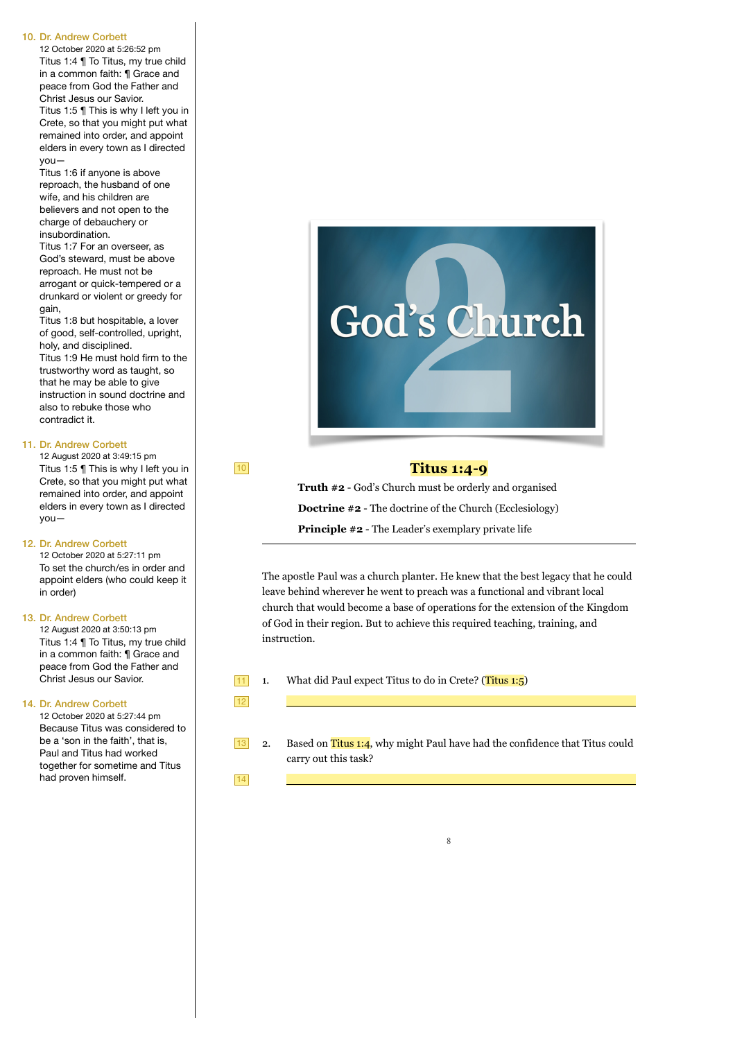#### 10. Dr. Andrew Corbett

12 October 2020 at 5:26:52 pm Titus 1:4 ¶ To Titus, my true child in a common faith: ¶ Grace and peace from God the Father and Christ Jesus our Savior. Titus 1:5 ¶ This is why I left you in Crete, so that you might put what remained into order, and appoint elders in every town as I directed you—

Titus 1:6 if anyone is above reproach, the husband of one wife, and his children are believers and not open to the charge of debauchery or insubordination.

Titus 1:7 For an overseer, as God's steward, must be above reproach. He must not be arrogant or quick-tempered or a drunkard or violent or greedy for gain,

Titus 1:8 but hospitable, a lover of good, self-controlled, upright, holy, and disciplined. Titus 1:9 He must hold firm to the

trustworthy word as taught, so that he may be able to give instruction in sound doctrine and also to rebuke those who contradict it.

#### 11. Dr. Andrew Corbett

12 August 2020 at 3:49:15 pm Titus 1:5 ¶ This is why I left you in Crete, so that you might put what remained into order, and appoint elders in every town as I directed you—

#### 12. Dr. Andrew Corbett

12 October 2020 at 5:27:11 pm To set the church/es in order and appoint elders (who could keep it in order)

#### 13. Dr. Andrew Corbett

12 August 2020 at 3:50:13 pm Titus 1:4 ¶ To Titus, my true child in a common faith: ¶ Grace and peace from God the Father and Christ Jesus our Savior.

#### 14. Dr. Andrew Corbett

12 October 2020 at 5:27:44 pm Because Titus was considered to be a 'son in the faith', that is, Paul and Titus had worked together for sometime and Titus had proven himself.



## **Titus 1:4-9**

**Truth #2** - God's Church must be orderly and organised **Doctrine #2** - The doctrine of the Church (Ecclesiology) **Principle #2** - The Leader's exemplary private life

The apostle Paul was a church planter. He knew that the best legacy that he could leave behind wherever he went to preach was a functional and vibrant local church that would become a base of operations for the extension of the Kingdom of God in their region. But to achieve this required teaching, training, and instruction.

1. What did Paul expect Titus to do in Crete? (Titus 1:5)

11 12

10

2. Based on Titus  $1:4$ , why might Paul have had the confidence that Titus could carry out this task? 13

14

8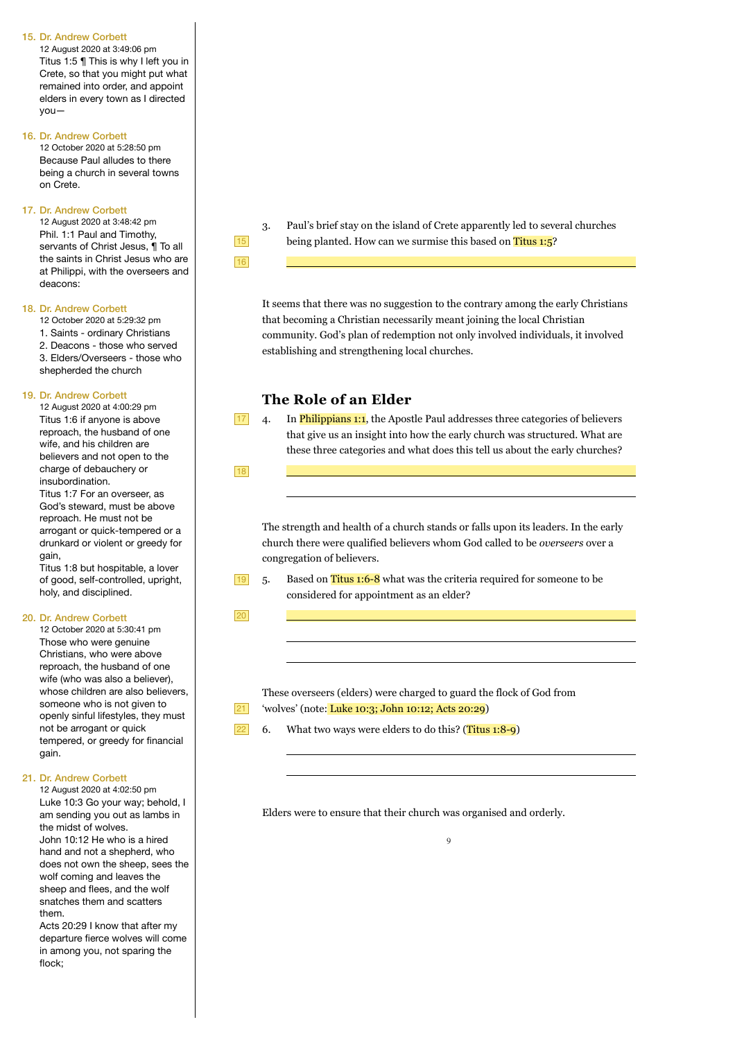#### 15. Dr. Andrew Corbett

12 August 2020 at 3:49:06 pm Titus 1:5 ¶ This is why I left you in Crete, so that you might put what remained into order, and appoint elders in every town as I directed you—

#### 16. Dr. Andrew Corbett

12 October 2020 at 5:28:50 pm Because Paul alludes to there being a church in several towns on Crete.

#### 17. Dr. Andrew Corbett

12 August 2020 at 3:48:42 pm Phil. 1:1 Paul and Timothy, servants of Christ Jesus, ¶ To all the saints in Christ Jesus who are at Philippi, with the overseers and deacons:

#### 18. Dr. Andrew Corbett

12 October 2020 at 5:29:32 pm

1. Saints - ordinary Christians

2. Deacons - those who served 3. Elders/Overseers - those who

shepherded the church

#### 19. Dr. Andrew Corbett

12 August 2020 at 4:00:29 pm Titus 1:6 if anyone is above reproach, the husband of one wife, and his children are believers and not open to the charge of debauchery or insubordination.

Titus 1:7 For an overseer, as God's steward, must be above reproach. He must not be arrogant or quick-tempered or a drunkard or violent or greedy for gain,

Titus 1:8 but hospitable, a lover of good, self-controlled, upright, holy, and disciplined.

### 20. Dr. Andrew Corbett

12 October 2020 at 5:30:41 pm Those who were genuine Christians, who were above reproach, the husband of one wife (who was also a believer), whose children are also believers. someone who is not given to openly sinful lifestyles, they must not be arrogant or quick tempered, or greedy for financial gain.

### 21. Dr. Andrew Corbett

12 August 2020 at 4:02:50 pm Luke 10:3 Go your way; behold, I am sending you out as lambs in the midst of wolves. John 10:12 He who is a hired hand and not a shepherd, who does not own the sheep, sees the wolf coming and leaves the sheep and flees, and the wolf snatches them and scatters them.

Acts 20:29 I know that after my departure fierce wolves will come in among you, not sparing the flock;

15

3. Paul's brief stay on the island of Crete apparently led to several churches being planted. How can we surmise this based on Titus 1:5?

16

It seems that there was no suggestion to the contrary among the early Christians that becoming a Christian necessarily meant joining the local Christian community. God's plan of redemption not only involved individuals, it involved establishing and strengthening local churches.

## **The Role of an Elder**

17

4. In Philippians 1:1, the Apostle Paul addresses three categories of believers that give us an insight into how the early church was structured. What are these three categories and what does this tell us about the early churches?

18

 $\overline{a}$ 

 $\overline{a}$ 

 $\overline{a}$ 

The strength and health of a church stands or falls upon its leaders. In the early church there were qualified believers whom God called to be *overseers* over a congregation of believers.

- $19$  5.
	- Based on Titus 1:6-8 what was the criteria required for someone to be considered for appointment as an elder?

20

These overseers (elders) were charged to guard the flock of God from 'wolves' (note: Luke 10:3; John 10:12; Acts 20:29)



6. What two ways were elders to do this? (Titus  $1:8-9$ )

Elders were to ensure that their church was organised and orderly.

 $\alpha$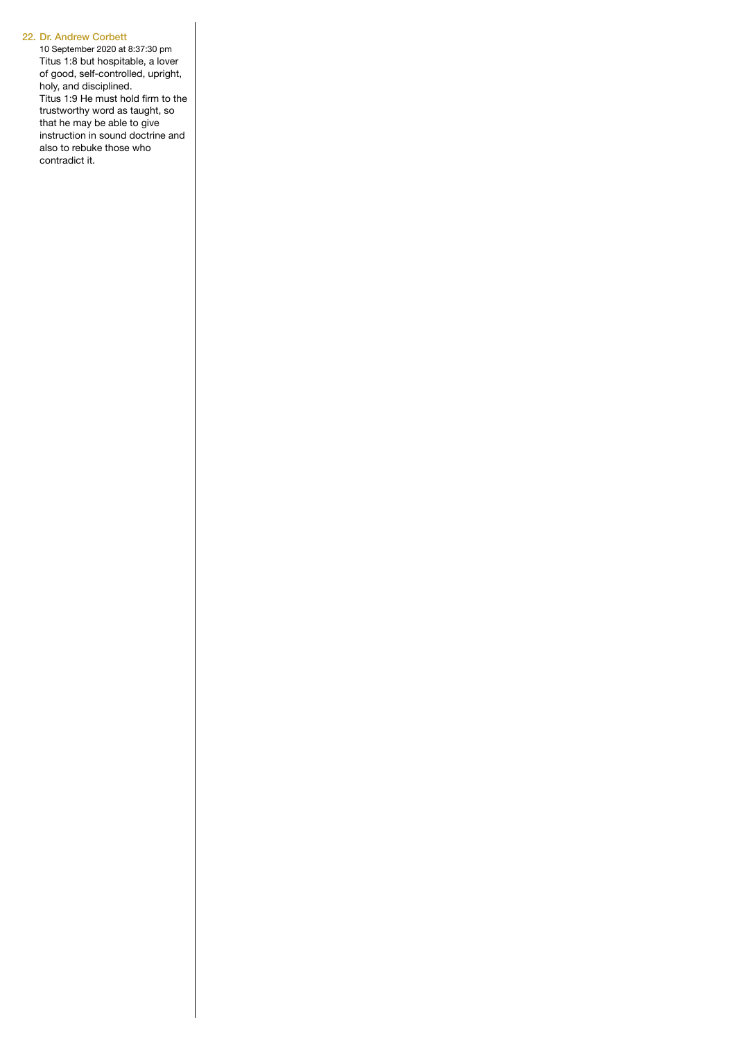### 22. Dr. Andrew Corbett

10 September 2020 at 8:37:30 pm Titus 1:8 but hospitable, a lover of good, self-controlled, upright, holy, and disciplined. Titus 1:9 He must hold firm to the trustworthy word as taught, so that he may be able to give instruction in sound doctrine and also to rebuke those who contradict it.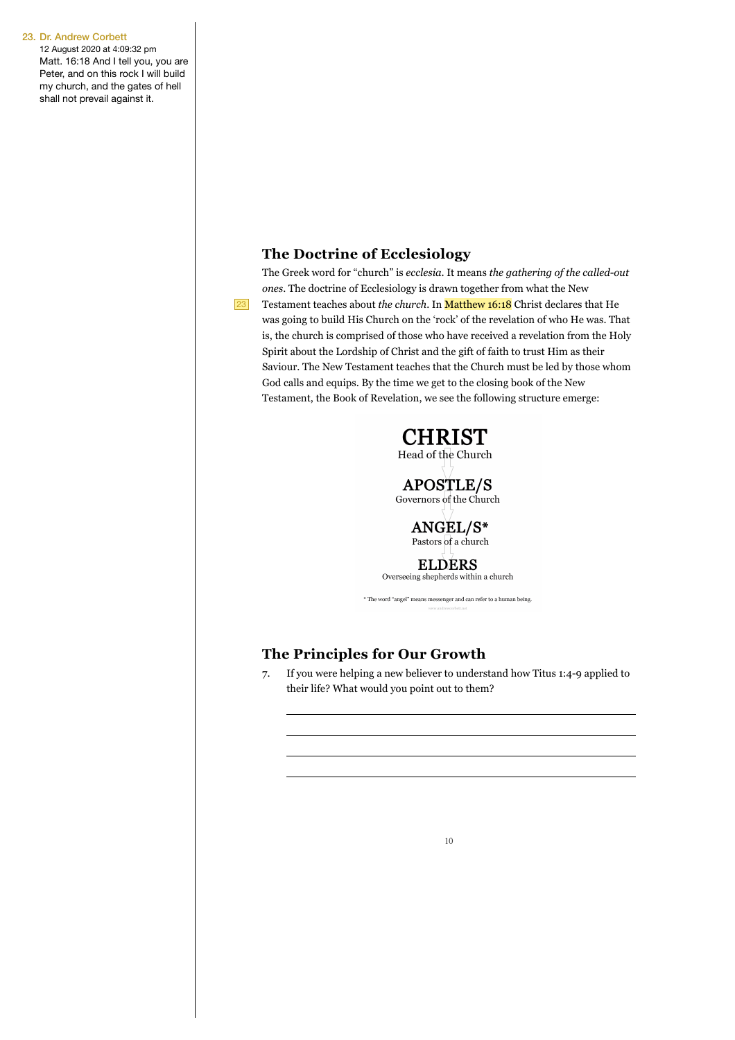12 August 2020 at 4:09:32 pm Matt. 16:18 And I tell you, you are Peter, and on this rock I will build my church, and the gates of hell shall not prevail against it.

## **The Doctrine of Ecclesiology**

The Greek word for "church" is *ecclesia*. It means *the gathering of the called-out ones*. The doctrine of Ecclesiology is drawn together from what the New Testament teaches about *the church*. In Matthew 16:18 Christ declares that He was going to build His Church on the 'rock' of the revelation of who He was. That is, the church is comprised of those who have received a revelation from the Holy Spirit about the Lordship of Christ and the gift of faith to trust Him as their Saviour. The New Testament teaches that the Church must be led by those whom God calls and equips. By the time we get to the closing book of the New Testament, the Book of Revelation, we see the following structure emerge:



Governors of the Church

ANGEL/S\* Pastors of a church

**ELDERS** Overseeing shepherds within a church

 $^\ast$  The word "angel" means messenger and can refer to a human being.

## **The Principles for Our Growth**

 $\overline{a}$ 

23

7. If you were helping a new believer to understand how Titus 1:4-9 applied to their life? What would you point out to them?